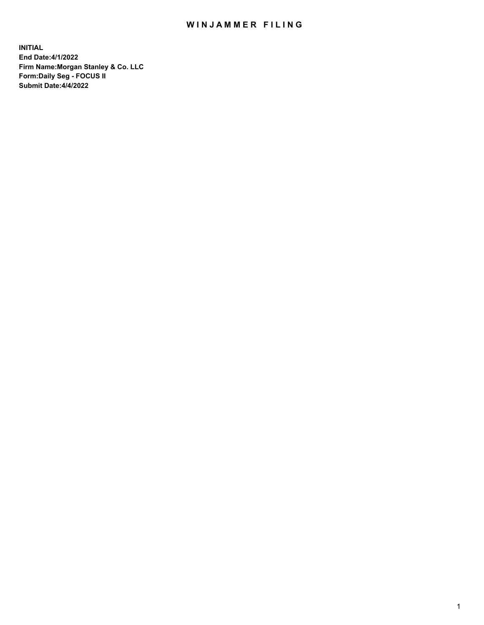## WIN JAMMER FILING

**INITIAL End Date:4/1/2022 Firm Name:Morgan Stanley & Co. LLC Form:Daily Seg - FOCUS II Submit Date:4/4/2022**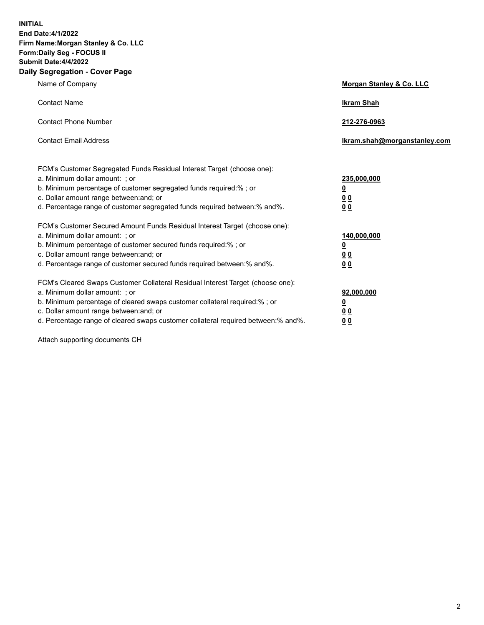**INITIAL End Date:4/1/2022 Firm Name:Morgan Stanley & Co. LLC Form:Daily Seg - FOCUS II Submit Date:4/4/2022 Daily Segregation - Cover Page**

| Name of Company                                                                                                                                                                                                                                                                                                               | Morgan Stanley & Co. LLC                                                     |
|-------------------------------------------------------------------------------------------------------------------------------------------------------------------------------------------------------------------------------------------------------------------------------------------------------------------------------|------------------------------------------------------------------------------|
| <b>Contact Name</b>                                                                                                                                                                                                                                                                                                           | <b>Ikram Shah</b>                                                            |
| <b>Contact Phone Number</b>                                                                                                                                                                                                                                                                                                   | 212-276-0963                                                                 |
| <b>Contact Email Address</b>                                                                                                                                                                                                                                                                                                  | Ikram.shah@morganstanley.com                                                 |
| FCM's Customer Segregated Funds Residual Interest Target (choose one):<br>a. Minimum dollar amount: ; or<br>b. Minimum percentage of customer segregated funds required:% ; or<br>c. Dollar amount range between: and; or<br>d. Percentage range of customer segregated funds required between: % and %.                      | 235,000,000<br><u>0</u><br><u>00</u><br>0 Q                                  |
| FCM's Customer Secured Amount Funds Residual Interest Target (choose one):<br>a. Minimum dollar amount: ; or<br>b. Minimum percentage of customer secured funds required:%; or<br>c. Dollar amount range between: and; or<br>d. Percentage range of customer secured funds required between:% and%.                           | 140,000,000<br><u>0</u><br>$\underline{0}$ $\underline{0}$<br>0 <sup>0</sup> |
| FCM's Cleared Swaps Customer Collateral Residual Interest Target (choose one):<br>a. Minimum dollar amount: ; or<br>b. Minimum percentage of cleared swaps customer collateral required:%; or<br>c. Dollar amount range between: and; or<br>d. Percentage range of cleared swaps customer collateral required between:% and%. | 92,000,000<br><u>0</u><br><u>00</u><br>00                                    |

Attach supporting documents CH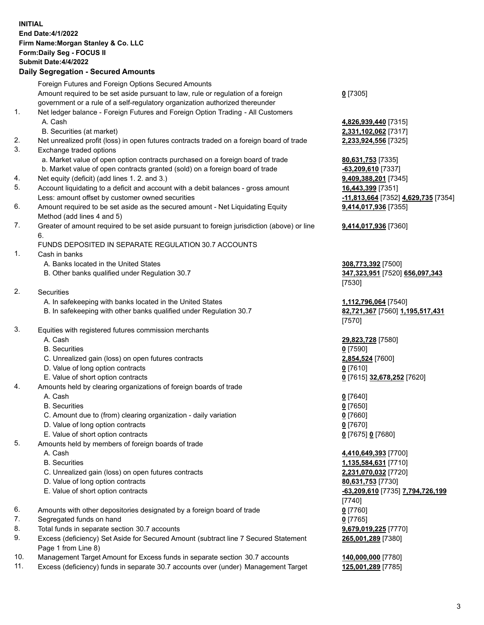## **INITIAL End Date:4/1/2022 Firm Name:Morgan Stanley & Co. LLC Form:Daily Seg - FOCUS II Submit Date:4/4/2022 Daily Segregation - Secured Amounts** Foreign Futures and Foreign Options Secured Amounts Amount required to be set aside pursuant to law, rule or regulation of a foreign government or a rule of a self-regulatory organization authorized thereunder **0** [7305] 1. Net ledger balance - Foreign Futures and Foreign Option Trading - All Customers A. Cash **4,826,939,440** [7315] B. Securities (at market) **2,331,102,062** [7317] 2. Net unrealized profit (loss) in open futures contracts traded on a foreign board of trade **2,233,924,556** [7325] 3. Exchange traded options a. Market value of open option contracts purchased on a foreign board of trade **80,631,753** [7335] b. Market value of open contracts granted (sold) on a foreign board of trade **-63,209,610** [7337] 4. Net equity (deficit) (add lines 1. 2. and 3.) **9,409,388,201** [7345] 5. Account liquidating to a deficit and account with a debit balances - gross amount **16,443,399** [7351] Less: amount offset by customer owned securities **-11,813,664** [7352] **4,629,735** [7354] 6. Amount required to be set aside as the secured amount - Net Liquidating Equity Method (add lines 4 and 5) 7. Greater of amount required to be set aside pursuant to foreign jurisdiction (above) or line 6. FUNDS DEPOSITED IN SEPARATE REGULATION 30.7 ACCOUNTS 1. Cash in banks A. Banks located in the United States **308,773,392** [7500] B. Other banks qualified under Regulation 30.7 **347,323,951** [7520] **656,097,343** 2. Securities A. In safekeeping with banks located in the United States **1,112,796,064** [7540] B. In safekeeping with other banks qualified under Regulation 30.7 **82,721,367** [7560] **1,195,517,431** 3. Equities with registered futures commission merchants A. Cash **29,823,728** [7580] B. Securities **0** [7590] C. Unrealized gain (loss) on open futures contracts **2,854,524** [7600] D. Value of long option contracts **0** [7610] E. Value of short option contracts **0** [7615] **32,678,252** [7620] 4. Amounts held by clearing organizations of foreign boards of trade A. Cash **0** [7640] B. Securities **0** [7650] C. Amount due to (from) clearing organization - daily variation **0** [7660] D. Value of long option contracts **0** [7670] E. Value of short option contracts **0** [7675] **0** [7680] 5. Amounts held by members of foreign boards of trade A. Cash **4,410,649,393** [7700] B. Securities **1,135,584,631** [7710] C. Unrealized gain (loss) on open futures contracts **2,231,070,032** [7720] D. Value of long option contracts **80,631,753** [7730] E. Value of short option contracts **-63,209,610** [7735] **7,794,726,199** [7740] 6. Amounts with other depositories designated by a foreign board of trade **0** [7760] 7. Segregated funds on hand **0** [7765] 8. Total funds in separate section 30.7 accounts **9,679,019,225** [7770] 9. Excess (deficiency) Set Aside for Secured Amount (subtract line 7 Secured Statement Page 1 from Line 8) **265,001,289** [7380]

- 10. Management Target Amount for Excess funds in separate section 30.7 accounts **140,000,000** [7780]
- 11. Excess (deficiency) funds in separate 30.7 accounts over (under) Management Target **125,001,289** [7785]

**9,414,017,936** [7355] **9,414,017,936** [7360] [7530] [7570]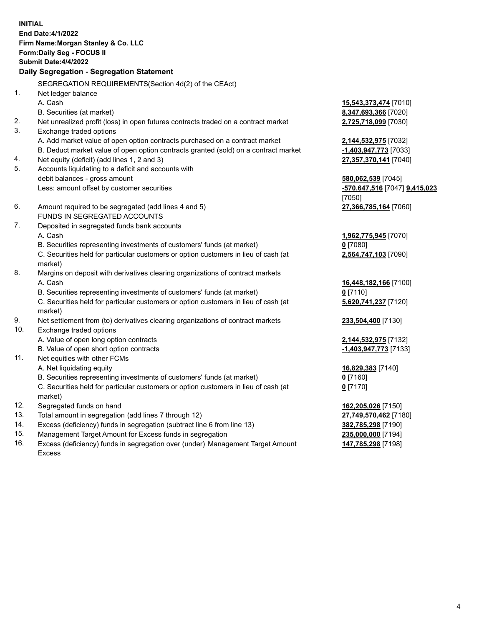**INITIAL End Date:4/1/2022 Firm Name:Morgan Stanley & Co. LLC Form:Daily Seg - FOCUS II Submit Date:4/4/2022 Daily Segregation - Segregation Statement** SEGREGATION REQUIREMENTS(Section 4d(2) of the CEAct) 1. Net ledger balance A. Cash **15,543,373,474** [7010] B. Securities (at market) **8,347,693,366** [7020] 2. Net unrealized profit (loss) in open futures contracts traded on a contract market **2,725,718,099** [7030] 3. Exchange traded options A. Add market value of open option contracts purchased on a contract market **2,144,532,975** [7032] B. Deduct market value of open option contracts granted (sold) on a contract market **-1,403,947,773** [7033] 4. Net equity (deficit) (add lines 1, 2 and 3) **27,357,370,141** [7040] 5. Accounts liquidating to a deficit and accounts with debit balances - gross amount **580,062,539** [7045] Less: amount offset by customer securities **-570,647,516** [7047] **9,415,023** [7050] 6. Amount required to be segregated (add lines 4 and 5) **27,366,785,164** [7060] FUNDS IN SEGREGATED ACCOUNTS 7. Deposited in segregated funds bank accounts A. Cash **1,962,775,945** [7070] B. Securities representing investments of customers' funds (at market) **0** [7080] C. Securities held for particular customers or option customers in lieu of cash (at market) **2,564,747,103** [7090] 8. Margins on deposit with derivatives clearing organizations of contract markets A. Cash **16,448,182,166** [7100] B. Securities representing investments of customers' funds (at market) **0** [7110] C. Securities held for particular customers or option customers in lieu of cash (at market) **5,620,741,237** [7120] 9. Net settlement from (to) derivatives clearing organizations of contract markets **233,504,400** [7130] 10. Exchange traded options A. Value of open long option contracts **2,144,532,975** [7132] B. Value of open short option contracts **and the set of our of the set of our of the set of the set of the set of the set of the set of the set of the set of the set of the set of the set of the set of the set of the set o** 11. Net equities with other FCMs A. Net liquidating equity **16,829,383** [7140] B. Securities representing investments of customers' funds (at market) **0** [7160] C. Securities held for particular customers or option customers in lieu of cash (at market) **0** [7170] 12. Segregated funds on hand **162,205,026** [7150] 13. Total amount in segregation (add lines 7 through 12) **27,749,570,462** [7180] 14. Excess (deficiency) funds in segregation (subtract line 6 from line 13) **382,785,298** [7190] 15. Management Target Amount for Excess funds in segregation **235,000,000** [7194]

16. Excess (deficiency) funds in segregation over (under) Management Target Amount Excess

**147,785,298** [7198]